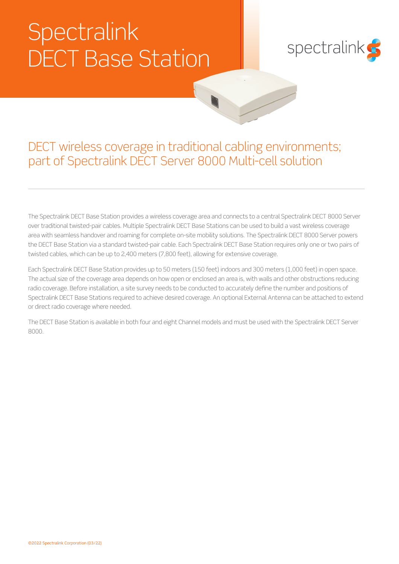# **Spectralink** DECT Base Station



## DECT wireless coverage in traditional cabling environments; part of Spectralink DECT Server 8000 Multi-cell solution

The Spectralink DECT Base Station provides a wireless coverage area and connects to a central Spectralink DECT 8000 Server over traditional twisted-pair cables. Multiple Spectralink DECT Base Stations can be used to build a vast wireless coverage area with seamless handover and roaming for complete on-site mobility solutions. The Spectralink DECT 8000 Server powers the DECT Base Station via a standard twisted-pair cable. Each Spectralink DECT Base Station requires only one or two pairs of twisted cables, which can be up to 2,400 meters (7,800 feet), allowing for extensive coverage.

Each Spectralink DECT Base Station provides up to 50 meters (150 feet) indoors and 300 meters (1,000 feet) in open space. The actual size of the coverage area depends on how open or enclosed an area is, with walls and other obstructions reducing radio coverage. Before installation, a site survey needs to be conducted to accurately define the number and positions of Spectralink DECT Base Stations required to achieve desired coverage. An optional External Antenna can be attached to extend or direct radio coverage where needed.

The DECT Base Station is available in both four and eight Channel models and must be used with the Spectralink DECT Server 8000.